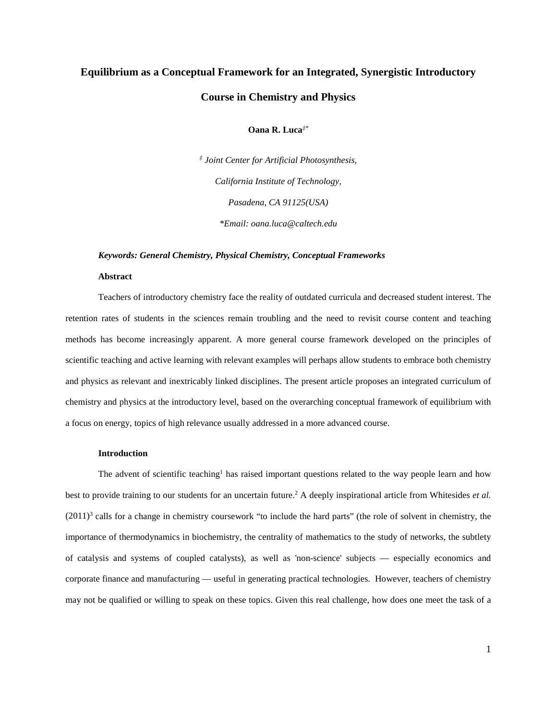# **Equilibrium as a Conceptual Framework for an Integrated, Synergistic Introductory Course in Chemistry and Physics**

# **Oana R. Luca***‡\**

*‡ Joint Center for Artificial Photosynthesis, California Institute of Technology, Pasadena, CA 91125(USA) \*Email: oana.luca@caltech.edu*

#### *Keywords: General Chemistry, Physical Chemistry, Conceptual Frameworks*

#### **Abstract**

Teachers of introductory chemistry face the reality of outdated curricula and decreased student interest. The retention rates of students in the sciences remain troubling and the need to revisit course content and teaching methods has become increasingly apparent. A more general course framework developed on the principles of scientific teaching and active learning with relevant examples will perhaps allow students to embrace both chemistry and physics as relevant and inextricably linked disciplines. The present article proposes an integrated curriculum of chemistry and physics at the introductory level, based on the overarching conceptual framework of equilibrium with a focus on energy, topics of high relevance usually addressed in a more advanced course.

## **Introduction**

The advent of scientific teaching<sup>1</sup> has raised important questions related to the way people learn and how best to provide training to our students for an uncertain future[.2](#page-9-1) A deeply inspirational article from Whitesides *et al.*  $(2011)^3$  $(2011)^3$  $(2011)^3$  calls for a change in chemistry coursework "to include the hard parts" (the role of solvent in chemistry, the importance of thermodynamics in biochemistry, the centrality of mathematics to the study of networks, the subtlety of catalysis and systems of coupled catalysts), as well as 'non-science' subjects — especially economics and corporate finance and manufacturing — useful in generating practical technologies. However, teachers of chemistry may not be qualified or willing to speak on these topics. Given this real challenge, how does one meet the task of a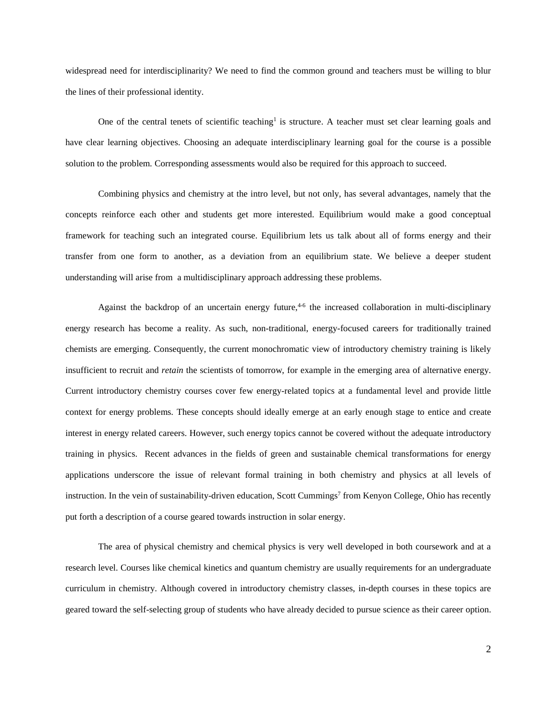widespread need for interdisciplinarity? We need to find the common ground and teachers must be willing to blur the lines of their professional identity.

One of the central tenets of scientific teaching<sup>1</sup> is structure. A teacher must set clear learning goals and have clear learning objectives. Choosing an adequate interdisciplinary learning goal for the course is a possible solution to the problem. Corresponding assessments would also be required for this approach to succeed.

Combining physics and chemistry at the intro level, but not only, has several advantages, namely that the concepts reinforce each other and students get more interested. Equilibrium would make a good conceptual framework for teaching such an integrated course. Equilibrium lets us talk about all of forms energy and their transfer from one form to another, as a deviation from an equilibrium state. We believe a deeper student understanding will arise from a multidisciplinary approach addressing these problems.

Against the backdrop of an uncertain energy future,<sup>4-6</sup> the increased collaboration in multi-disciplinary energy research has become a reality. As such, non-traditional, energy-focused careers for traditionally trained chemists are emerging. Consequently, the current monochromatic view of introductory chemistry training is likely insufficient to recruit and *retain* the scientists of tomorrow, for example in the emerging area of alternative energy. Current introductory chemistry courses cover few energy-related topics at a fundamental level and provide little context for energy problems. These concepts should ideally emerge at an early enough stage to entice and create interest in energy related careers. However, such energy topics cannot be covered without the adequate introductory training in physics. Recent advances in the fields of green and sustainable chemical transformations for energy applications underscore the issue of relevant formal training in both chemistry and physics at all levels of instruction. In the vein of sustainability-driven education, Scott Cummings<sup>7</sup> from Kenyon College, Ohio has recently put forth a description of a course geared towards instruction in solar energy.

The area of physical chemistry and chemical physics is very well developed in both coursework and at a research level. Courses like chemical kinetics and quantum chemistry are usually requirements for an undergraduate curriculum in chemistry. Although covered in introductory chemistry classes, in-depth courses in these topics are geared toward the self-selecting group of students who have already decided to pursue science as their career option.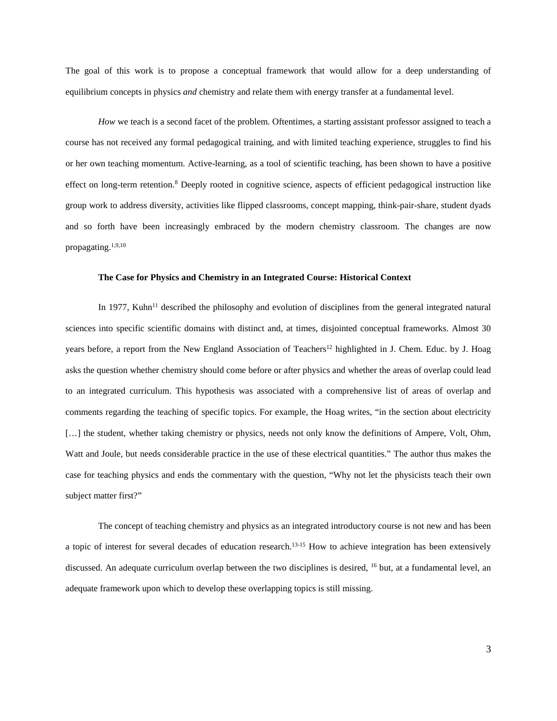The goal of this work is to propose a conceptual framework that would allow for a deep understanding of equilibrium concepts in physics *and* chemistry and relate them with energy transfer at a fundamental level.

*How* we teach is a second facet of the problem. Oftentimes, a starting assistant professor assigned to teach a course has not received any formal pedagogical training, and with limited teaching experience, struggles to find his or her own teaching momentum. Active-learning, as a tool of scientific teaching, has been shown to have a positive effect on long-term retention[.8](#page-9-5) Deeply rooted in cognitive science, aspects of efficient pedagogical instruction like group work to address diversity, activities like flipped classrooms, concept mapping, think-pair-share, student dyads and so forth have been increasingly embraced by the modern chemistry classroom. The changes are now propagating[.1,](#page-9-0)[9,](#page-9-6)[10](#page-9-7)

#### **The Case for Physics and Chemistry in an Integrated Course: Historical Context**

In 1977, Kuhn<sup>11</sup> described the philosophy and evolution of disciplines from the general integrated natural sciences into specific scientific domains with distinct and, at times, disjointed conceptual frameworks. Almost 30 years before, a report from the New England Association of Teachers<sup>12</sup> highlighted in J. Chem. Educ. by J. Hoag asks the question whether chemistry should come before or after physics and whether the areas of overlap could lead to an integrated curriculum. This hypothesis was associated with a comprehensive list of areas of overlap and comments regarding the teaching of specific topics. For example, the Hoag writes, "in the section about electricity [...] the student, whether taking chemistry or physics, needs not only know the definitions of Ampere, Volt, Ohm, Watt and Joule, but needs considerable practice in the use of these electrical quantities." The author thus makes the case for teaching physics and ends the commentary with the question, "Why not let the physicists teach their own subject matter first?"

The concept of teaching chemistry and physics as an integrated introductory course is not new and has been a topic of interest for several decades of education research.<sup>[13-15](#page-9-10)</sup> How to achieve integration has been extensively discussed. An adequate curriculum overlap between the two disciplines is desired, <sup>16</sup> but, at a fundamental level, an adequate framework upon which to develop these overlapping topics is still missing.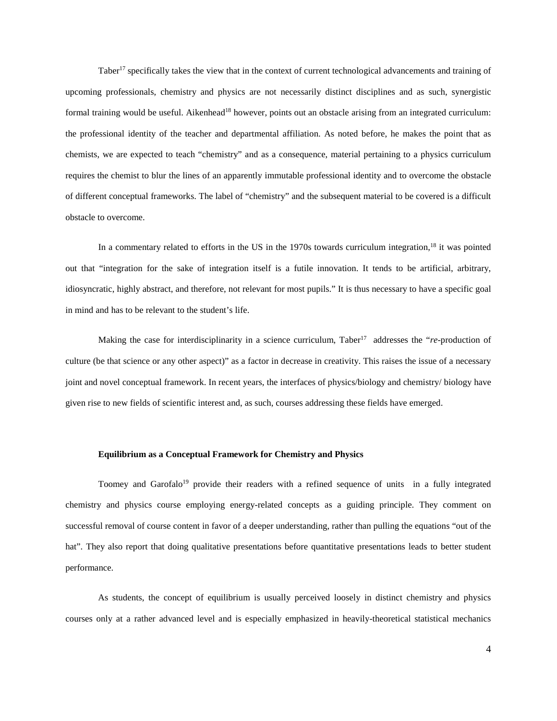Taber<sup>17</sup> specifically takes the view that in the context of current technological advancements and training of upcoming professionals, chemistry and physics are not necessarily distinct disciplines and as such, synergistic formal training would be useful. Aikenhead<sup>18</sup> however, points out an obstacle arising from an integrated curriculum: the professional identity of the teacher and departmental affiliation. As noted before, he makes the point that as chemists, we are expected to teach "chemistry" and as a consequence, material pertaining to a physics curriculum requires the chemist to blur the lines of an apparently immutable professional identity and to overcome the obstacle of different conceptual frameworks. The label of "chemistry" and the subsequent material to be covered is a difficult obstacle to overcome.

In a commentary related to efforts in the US in the 1970s towards curriculum integration,<sup>[18](#page-9-13)</sup> it was pointed out that "integration for the sake of integration itself is a futile innovation. It tends to be artificial, arbitrary, idiosyncratic, highly abstract, and therefore, not relevant for most pupils." It is thus necessary to have a specific goal in mind and has to be relevant to the student's life.

Making the case for interdisciplinarity in a science curriculum, Taber<sup>17</sup> addresses the "*re*-production of culture (be that science or any other aspect)" as a factor in decrease in creativity. This raises the issue of a necessary joint and novel conceptual framework. In recent years, the interfaces of physics/biology and chemistry/ biology have given rise to new fields of scientific interest and, as such, courses addressing these fields have emerged.

#### **Equilibrium as a Conceptual Framework for Chemistry and Physics**

Toomey and Garofalo<sup>19</sup> provide their readers with a refined sequence of units in a fully integrated chemistry and physics course employing energy-related concepts as a guiding principle. They comment on successful removal of course content in favor of a deeper understanding, rather than pulling the equations "out of the hat". They also report that doing qualitative presentations before quantitative presentations leads to better student performance.

As students, the concept of equilibrium is usually perceived loosely in distinct chemistry and physics courses only at a rather advanced level and is especially emphasized in heavily-theoretical statistical mechanics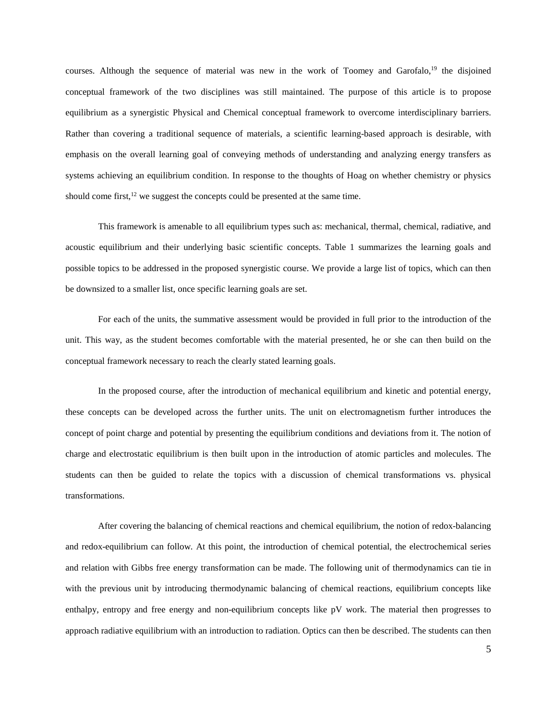courses. Although the sequence of material was new in the work of Toomey and Garofalo,<sup>19</sup> the disjoined conceptual framework of the two disciplines was still maintained. The purpose of this article is to propose equilibrium as a synergistic Physical and Chemical conceptual framework to overcome interdisciplinary barriers. Rather than covering a traditional sequence of materials, a scientific learning-based approach is desirable, with emphasis on the overall learning goal of conveying methods of understanding and analyzing energy transfers as systems achieving an equilibrium condition. In response to the thoughts of Hoag on whether chemistry or physics should come first, $12$  we suggest the concepts could be presented at the same time.

This framework is amenable to all equilibrium types such as: mechanical, thermal, chemical, radiative, and acoustic equilibrium and their underlying basic scientific concepts. Table 1 summarizes the learning goals and possible topics to be addressed in the proposed synergistic course. We provide a large list of topics, which can then be downsized to a smaller list, once specific learning goals are set.

For each of the units, the summative assessment would be provided in full prior to the introduction of the unit. This way, as the student becomes comfortable with the material presented, he or she can then build on the conceptual framework necessary to reach the clearly stated learning goals.

In the proposed course, after the introduction of mechanical equilibrium and kinetic and potential energy, these concepts can be developed across the further units. The unit on electromagnetism further introduces the concept of point charge and potential by presenting the equilibrium conditions and deviations from it. The notion of charge and electrostatic equilibrium is then built upon in the introduction of atomic particles and molecules. The students can then be guided to relate the topics with a discussion of chemical transformations vs. physical transformations.

After covering the balancing of chemical reactions and chemical equilibrium, the notion of redox-balancing and redox-equilibrium can follow. At this point, the introduction of chemical potential, the electrochemical series and relation with Gibbs free energy transformation can be made. The following unit of thermodynamics can tie in with the previous unit by introducing thermodynamic balancing of chemical reactions, equilibrium concepts like enthalpy, entropy and free energy and non-equilibrium concepts like pV work. The material then progresses to approach radiative equilibrium with an introduction to radiation. Optics can then be described. The students can then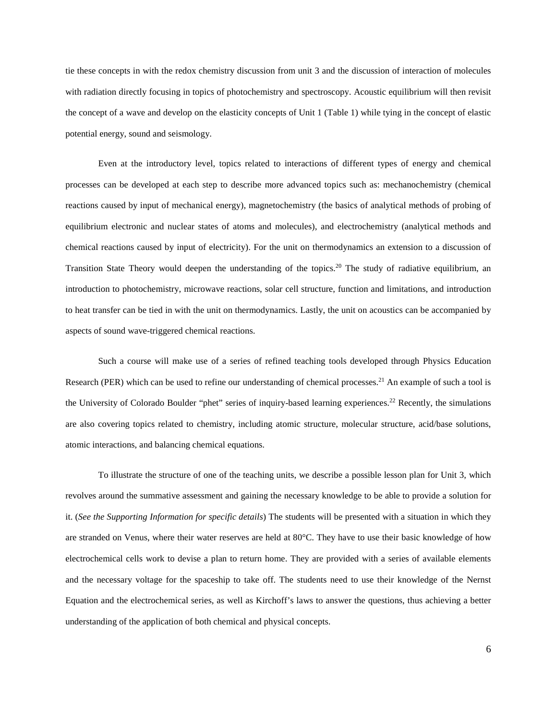tie these concepts in with the redox chemistry discussion from unit 3 and the discussion of interaction of molecules with radiation directly focusing in topics of photochemistry and spectroscopy. Acoustic equilibrium will then revisit the concept of a wave and develop on the elasticity concepts of Unit 1 (Table 1) while tying in the concept of elastic potential energy, sound and seismology.

Even at the introductory level, topics related to interactions of different types of energy and chemical processes can be developed at each step to describe more advanced topics such as: mechanochemistry (chemical reactions caused by input of mechanical energy), magnetochemistry (the basics of analytical methods of probing of equilibrium electronic and nuclear states of atoms and molecules), and electrochemistry (analytical methods and chemical reactions caused by input of electricity). For the unit on thermodynamics an extension to a discussion of Transition State Theory would deepen the understanding of the topics.<sup>[20](#page-9-15)</sup> The study of radiative equilibrium, an introduction to photochemistry, microwave reactions, solar cell structure, function and limitations, and introduction to heat transfer can be tied in with the unit on thermodynamics. Lastly, the unit on acoustics can be accompanied by aspects of sound wave-triggered chemical reactions.

Such a course will make use of a series of refined teaching tools developed through Physics Education Research (PER) which can be used to refine our understanding of chemical processes.<sup>21</sup> An example of such a tool is the University of Colorado Boulder "phet" series of inquiry-based learning experiences[.22](#page-9-17) Recently, the simulations are also covering topics related to chemistry, including atomic structure, molecular structure, acid/base solutions, atomic interactions, and balancing chemical equations.

To illustrate the structure of one of the teaching units, we describe a possible lesson plan for Unit 3, which revolves around the summative assessment and gaining the necessary knowledge to be able to provide a solution for it. (*See the Supporting Information for specific details*) The students will be presented with a situation in which they are stranded on Venus, where their water reserves are held at 80°C. They have to use their basic knowledge of how electrochemical cells work to devise a plan to return home. They are provided with a series of available elements and the necessary voltage for the spaceship to take off. The students need to use their knowledge of the Nernst Equation and the electrochemical series, as well as Kirchoff's laws to answer the questions, thus achieving a better understanding of the application of both chemical and physical concepts.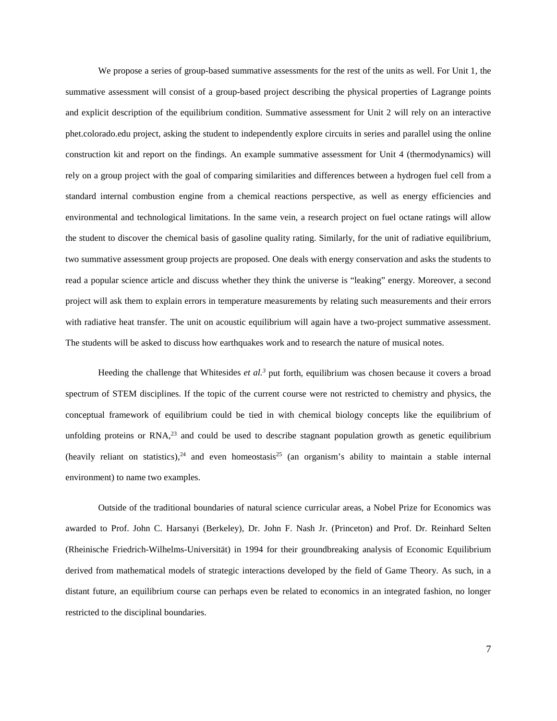We propose a series of group-based summative assessments for the rest of the units as well. For Unit 1, the summative assessment will consist of a group-based project describing the physical properties of Lagrange points and explicit description of the equilibrium condition. Summative assessment for Unit 2 will rely on an interactive phet.colorado.edu project, asking the student to independently explore circuits in series and parallel using the online construction kit and report on the findings. An example summative assessment for Unit 4 (thermodynamics) will rely on a group project with the goal of comparing similarities and differences between a hydrogen fuel cell from a standard internal combustion engine from a chemical reactions perspective, as well as energy efficiencies and environmental and technological limitations. In the same vein, a research project on fuel octane ratings will allow the student to discover the chemical basis of gasoline quality rating. Similarly, for the unit of radiative equilibrium, two summative assessment group projects are proposed. One deals with energy conservation and asks the students to read a popular science article and discuss whether they think the universe is "leaking" energy. Moreover, a second project will ask them to explain errors in temperature measurements by relating such measurements and their errors with radiative heat transfer. The unit on acoustic equilibrium will again have a two-project summative assessment. The students will be asked to discuss how earthquakes work and to research the nature of musical notes.

Heeding the challenge that Whitesides *et al[.3](#page-9-2)* put forth, equilibrium was chosen because it covers a broad spectrum of STEM disciplines. If the topic of the current course were not restricted to chemistry and physics, the conceptual framework of equilibrium could be tied in with chemical biology concepts like the equilibrium of unfolding proteins or RNA,<sup>23</sup> and could be used to describe stagnant population growth as genetic equilibrium (heavily reliant on statistics),  $2^4$  and even homeostasis  $2^5$  (an organism's ability to maintain a stable internal environment) to name two examples.

Outside of the traditional boundaries of natural science curricular areas, a Nobel Prize for Economics was awarded to Prof. John C. Harsanyi (Berkeley), Dr. John F. Nash Jr. (Princeton) and Prof. Dr. Reinhard Selten (Rheinische Friedrich-Wilhelms-Universität) in 1994 for their groundbreaking analysis of Economic Equilibrium derived from mathematical models of strategic interactions developed by the field of Game Theory. As such, in a distant future, an equilibrium course can perhaps even be related to economics in an integrated fashion, no longer restricted to the disciplinal boundaries.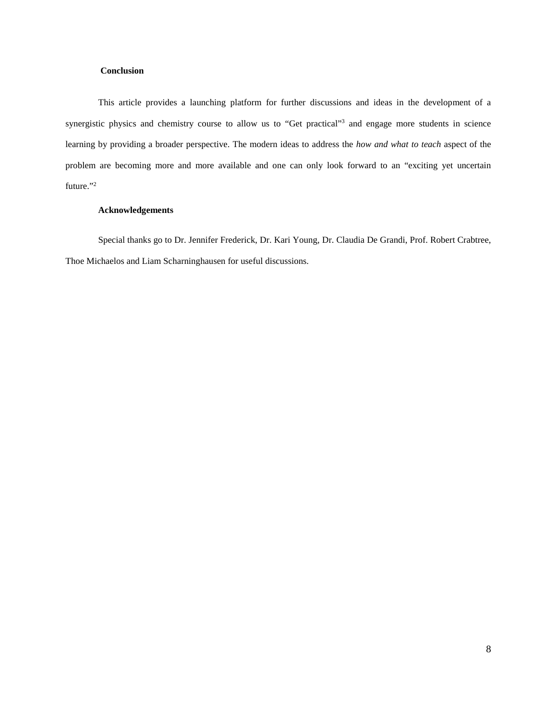# **Conclusion**

This article provides a launching platform for further discussions and ideas in the development of a synergistic physics and chemistry course to allow us to "Get practical"<sup>3</sup> and engage more students in science learning by providing a broader perspective. The modern ideas to address the *how and what to teach* aspect of the problem are becoming more and more available and one can only look forward to an "exciting yet uncertain future."<sup>2</sup>

# **Acknowledgements**

Special thanks go to Dr. Jennifer Frederick, Dr. Kari Young, Dr. Claudia De Grandi, Prof. Robert Crabtree, Thoe Michaelos and Liam Scharninghausen for useful discussions.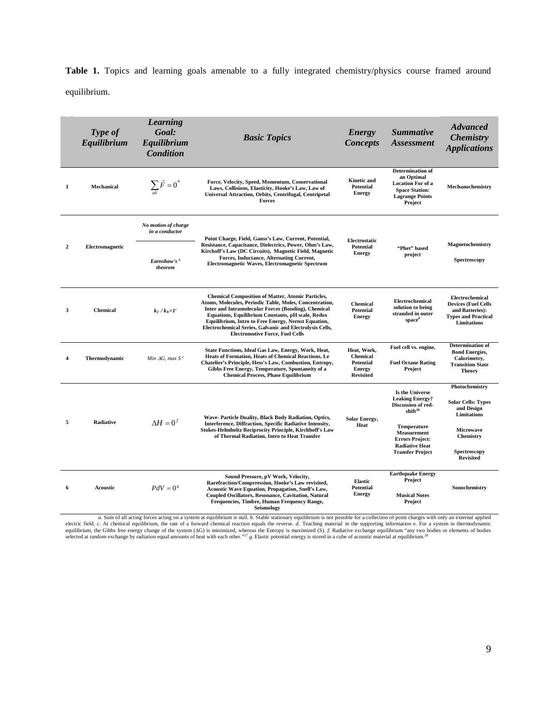Table 1. Topics and learning goals amenable to a fully integrated chemistry/physics course framed around equilibrium.

|              | Type of<br>Equilibrium | <b>Learning</b><br>Goal:<br>Equilibrium<br>Condition | <b>Basic Topics</b>                                                                                                                                                                                                                                                                                                                                                                          | <b>Energy</b><br><b>Concepts</b>                                                        | <b>Summative</b><br>Assessment                                                                                           | <b>Advanced</b><br><b>Chemistry</b><br><b>Applications</b>                                                           |
|--------------|------------------------|------------------------------------------------------|----------------------------------------------------------------------------------------------------------------------------------------------------------------------------------------------------------------------------------------------------------------------------------------------------------------------------------------------------------------------------------------------|-----------------------------------------------------------------------------------------|--------------------------------------------------------------------------------------------------------------------------|----------------------------------------------------------------------------------------------------------------------|
| 1            | Mechanical             | $\sum_{n} \vec{F} = 0^a$                             | Force, Velocity, Speed, Momentum, Conservational<br>Laws, Collisions, Elasticity, Hooke's Law, Law of<br>Universal Attraction, Orbits, Centrifugal, Centripetal<br>Forces                                                                                                                                                                                                                    | <b>Kinetic and</b><br><b>Potential</b><br><b>Energy</b>                                 | Determination of<br>an Optimal<br><b>Location For of a</b><br><b>Space Station:</b><br><b>Lagrange Points</b><br>Project | Mechanochemistry                                                                                                     |
| $\mathbf{2}$ | Electromagnetic        | No motion of charge<br>in a conductor                | Point Charge, Field, Gauss's Law, Current, Potential,<br>Resistance, Capacitance, Dielectrics, Power, Ohm's Law,<br>Kirchoff's Law (DC Circuits), Magnetic Field, Magnetic<br>Forces, Inductance, Alternating Current,<br>Electromagnetic Waves, Electromagnetic Spectrum                                                                                                                    | Electrostatic<br><b>Potential</b><br><b>Energy</b>                                      | "Phet" based<br>project                                                                                                  |                                                                                                                      |
|              |                        | Earnshaw's $b$<br>theorem                            |                                                                                                                                                                                                                                                                                                                                                                                              |                                                                                         |                                                                                                                          | Magnetochemistry<br>Spectroscopy                                                                                     |
| 3            | <b>Chemical</b>        | $k_f/k_b = I^c$                                      | <b>Chemical Composition of Matter, Atomic Particles,</b><br>Atoms, Molecules, Periodic Table, Moles, Concentration,<br>Inter and Intramolecular Forces (Bonding), Chemical<br>Equations, Equilibrium Constants, pH scale, Redox<br>Equilibrium, Intro to Free Energy, Nernst Equation,<br>Electrochemical Series, Galvanic and Electrolysis Cells,<br><b>Electromotive Force, Fuel Cells</b> | <b>Chemical</b><br><b>Potential</b><br><b>Energy</b>                                    | Electrochemical<br>solution to being<br>stranded in outer<br>$space^d$                                                   | Electrochemical<br><b>Devices (Fuel Cells</b><br>and Batteries):<br><b>Types and Practical</b><br><b>Limitations</b> |
| 4            | Thermodynamic          | Min $\Delta G$ , max $S^e$                           | State Functions, Ideal Gas Law, Energy, Work, Heat,<br>Heats of Formation, Heats of Chemical Reactions, Le<br>Chatelier's Principle, Hess's Law, Combustion, Entropy,<br>Gibbs Free Energy, Temperature, Spontaneity of a<br><b>Chemical Process, Phase Equilibrium</b>                                                                                                                      | Heat, Work,<br><b>Chemical</b><br><b>Potential</b><br><b>Energy</b><br><b>Revisited</b> | Fuel cell vs. engine,<br><b>Fuel Octane Rating</b><br>Project                                                            | <b>Determination</b> of<br><b>Bond Energies,</b><br>Calorimetry.<br><b>Transition State</b><br><b>Theory</b>         |
| 5            | <b>Radiative</b>       | $\Delta H = 0^f$                                     | Wave- Particle Duality, Black Body Radiation, Optics,<br>Interference, Diffraction, Specific Radiative Intensity,<br>Stokes-Helmholtz Reciprocity Principle, Kirchhoff's Law<br>of Thermal Radiation, Intro to Heat Transfer                                                                                                                                                                 | <b>Solar Energy,</b><br>Heat                                                            | Is the Universe<br><b>Leaking Energy?</b><br>Discussion of red-<br>shift <sup>26</sup>                                   | Photochemistry<br><b>Solar Cells: Types</b><br>and Design<br>Limitations                                             |
|              |                        |                                                      |                                                                                                                                                                                                                                                                                                                                                                                              |                                                                                         | <b>Temperature</b><br>Measurement<br><b>Errors Project:</b><br><b>Radiative Heat</b><br><b>Transfer Project</b>          | <b>Microwave</b><br>Chemistry<br>Spectroscopy<br><b>Revisited</b>                                                    |
| 6            | <b>Acoustic</b>        | $PdV = 0^g$                                          | Sound Pressure, pV Work, Velocity,<br>Rarefraction/Comprression, Hooke's Law revisited,<br><b>Acoustic Wave Equation, Propagation, Snell's Law,</b><br>Coupled Oscillators, Resonance, Cavitation, Natural<br>Frequencies, Timbre, Human Frequency Range,<br>Seismology                                                                                                                      | <b>Elastic</b><br><b>Potential</b><br><b>Energy</b>                                     | <b>Earthquake Energy</b><br>Project<br><b>Musical Notes</b><br>Project                                                   | Sonochemistry                                                                                                        |

a. Sum of all acting forces acting on a system at equilibrium is null. b. Stable stationary equilibrium is not possible for a collection of point charges with only an external applied (a). c. At chemical equilibrium, the r equilibrium, the Gibbs free energy change of the system (AG) is minimized, whereas the Entropy is maximized (S). f. Radiative exchange equilibrium "any two bodies or elements of bodies<br>selected at random exchange by radiat